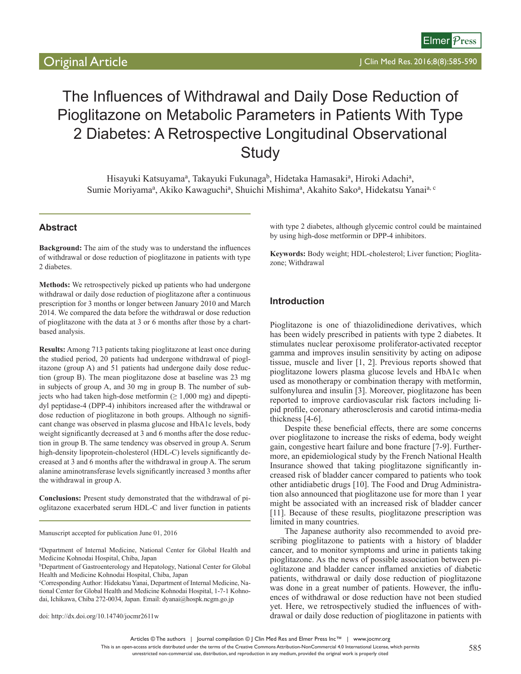# The Influences of Withdrawal and Daily Dose Reduction of Pioglitazone on Metabolic Parameters in Patients With Type 2 Diabetes: A Retrospective Longitudinal Observational **Study**

Hisayuki Katsuyama<sup>a</sup>, Takayuki Fukunaga<sup>b</sup>, Hidetaka Hamasaki<sup>a</sup>, Hiroki Adachi<sup>a</sup>, Sumie Moriyama<sup>a</sup>, Akiko Kawaguchi<sup>a</sup>, Shuichi Mishima<sup>a</sup>, Akahito Sako<sup>a</sup>, Hidekatsu Yanai<sup>a, c</sup>

# **Abstract**

**Background:** The aim of the study was to understand the influences of withdrawal or dose reduction of pioglitazone in patients with type 2 diabetes.

**Methods:** We retrospectively picked up patients who had undergone withdrawal or daily dose reduction of pioglitazone after a continuous prescription for 3 months or longer between January 2010 and March 2014. We compared the data before the withdrawal or dose reduction of pioglitazone with the data at 3 or 6 months after those by a chartbased analysis.

**Results:** Among 713 patients taking pioglitazone at least once during the studied period, 20 patients had undergone withdrawal of pioglitazone (group A) and 51 patients had undergone daily dose reduction (group B). The mean pioglitazone dose at baseline was 23 mg in subjects of group A, and 30 mg in group B. The number of subjects who had taken high-dose metformin ( $\geq 1,000$  mg) and dipeptidyl peptidase-4 (DPP-4) inhibitors increased after the withdrawal or dose reduction of pioglitazone in both groups. Although no significant change was observed in plasma glucose and HbA1c levels, body weight significantly decreased at 3 and 6 months after the dose reduction in group B. The same tendency was observed in group A. Serum high-density lipoprotein-cholesterol (HDL-C) levels significantly decreased at 3 and 6 months after the withdrawal in group A. The serum alanine aminotransferase levels significantly increased 3 months after the withdrawal in group A.

**Conclusions:** Present study demonstrated that the withdrawal of pioglitazone exacerbated serum HDL-C and liver function in patients

Manuscript accepted for publication June 01, 2016

a Department of Internal Medicine, National Center for Global Health and Medicine Kohnodai Hospital, Chiba, Japan

bDepartment of Gastroenterology and Hepatology, National Center for Global Health and Medicine Kohnodai Hospital, Chiba, Japan

c Corresponding Author: Hidekatsu Yanai, Department of Internal Medicine, National Center for Global Health and Medicine Kohnodai Hospital, 1-7-1 Kohnodai, Ichikawa, Chiba 272-0034, Japan. Email: dyanai@hospk.ncgm.go.jp

doi: http://dx.doi.org/10.14740/jocmr2611w

with type 2 diabetes, although glycemic control could be maintained by using high-dose metformin or DPP-4 inhibitors.

**Keywords:** Body weight; HDL-cholesterol; Liver function; Pioglitazone; Withdrawal

# **Introduction**

Pioglitazone is one of thiazolidinedione derivatives, which has been widely prescribed in patients with type 2 diabetes. It stimulates nuclear peroxisome proliferator-activated receptor gamma and improves insulin sensitivity by acting on adipose tissue, muscle and liver [1, 2]. Previous reports showed that pioglitazone lowers plasma glucose levels and HbA1c when used as monotherapy or combination therapy with metformin, sulfonylurea and insulin [3]. Moreover, pioglitazone has been reported to improve cardiovascular risk factors including lipid profile, coronary atherosclerosis and carotid intima-media thickness [4-6].

Despite these beneficial effects, there are some concerns over pioglitazone to increase the risks of edema, body weight gain, congestive heart failure and bone fracture [7-9]. Furthermore, an epidemiological study by the French National Health Insurance showed that taking pioglitazone significantly increased risk of bladder cancer compared to patients who took other antidiabetic drugs [10]. The Food and Drug Administration also announced that pioglitazone use for more than 1 year might be associated with an increased risk of bladder cancer [11]. Because of these results, pioglitazone prescription was limited in many countries.

The Japanese authority also recommended to avoid prescribing pioglitazone to patients with a history of bladder cancer, and to monitor symptoms and urine in patients taking pioglitazone. As the news of possible association between pioglitazone and bladder cancer inflamed anxieties of diabetic patients, withdrawal or daily dose reduction of pioglitazone was done in a great number of patients. However, the influences of withdrawal or dose reduction have not been studied yet. Here, we retrospectively studied the influences of withdrawal or daily dose reduction of pioglitazone in patients with

Articles © The authors | Journal compilation © J Clin Med Res and Elmer Press Inc™ | www.jocmr.org

This is an open-access article distributed under the terms of the Creative Commons Attribution-NonCommercial 4.0 International License, which permits

unrestricted non-commercial use, distribution, and reproduction in any medium, provided the original work is properly cited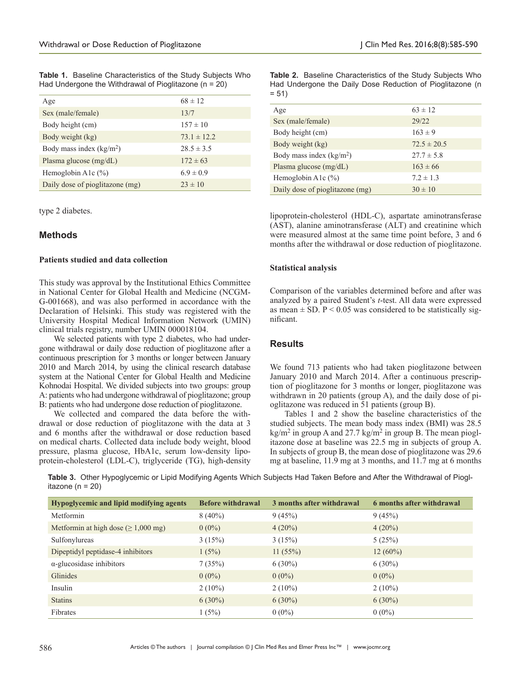|  | <b>Table 1.</b> Baseline Characteristics of the Study Subjects Who |  |  |
|--|--------------------------------------------------------------------|--|--|
|  | Had Undergone the Withdrawal of Pioglitazone ( $n = 20$ )          |  |  |

| Age                             | $68 \pm 12$     |
|---------------------------------|-----------------|
| Sex (male/female)               | 13/7            |
| Body height (cm)                | $157 \pm 10$    |
| Body weight (kg)                | $73.1 \pm 12.2$ |
| Body mass index $(kg/m2)$       | $28.5 \pm 3.5$  |
| Plasma glucose $(mg/dL)$        | $172 \pm 63$    |
| Hemoglobin A1 $c$ (%)           | $6.9 \pm 0.9$   |
| Daily dose of pioglitazone (mg) | $23 \pm 10$     |

type 2 diabetes.

# **Methods**

#### **Patients studied and data collection**

This study was approval by the Institutional Ethics Committee in National Center for Global Health and Medicine (NCGM-G-001668), and was also performed in accordance with the Declaration of Helsinki. This study was registered with the University Hospital Medical Information Network (UMIN) clinical trials registry, number UMIN 000018104.

We selected patients with type 2 diabetes, who had undergone withdrawal or daily dose reduction of pioglitazone after a continuous prescription for 3 months or longer between January 2010 and March 2014, by using the clinical research database system at the National Center for Global Health and Medicine Kohnodai Hospital. We divided subjects into two groups: group A: patients who had undergone withdrawal of pioglitazone; group B: patients who had undergone dose reduction of pioglitazone.

We collected and compared the data before the withdrawal or dose reduction of pioglitazone with the data at 3 and 6 months after the withdrawal or dose reduction based on medical charts. Collected data include body weight, blood pressure, plasma glucose, HbA1c, serum low-density lipoprotein-cholesterol (LDL-C), triglyceride (TG), high-density **Table 2.** Baseline Characteristics of the Study Subjects Who Had Undergone the Daily Dose Reduction of Pioglitazone (n  $= 51$ 

| Age                             | $63 \pm 12$     |
|---------------------------------|-----------------|
| Sex (male/female)               | 29/22           |
| Body height (cm)                | $163 \pm 9$     |
| Body weight (kg)                | $72.5 \pm 20.5$ |
| Body mass index $(kg/m2)$       | $27.7 \pm 5.8$  |
| Plasma glucose $(mg/dL)$        | $163 \pm 66$    |
| Hemoglobin A1 $c$ (%)           | $7.2 \pm 1.3$   |
| Daily dose of pioglitazone (mg) | $30 \pm 10$     |

lipoprotein-cholesterol (HDL-C), aspartate aminotransferase (AST), alanine aminotransferase (ALT) and creatinine which were measured almost at the same time point before, 3 and 6 months after the withdrawal or dose reduction of pioglitazone.

## **Statistical analysis**

Comparison of the variables determined before and after was analyzed by a paired Student's *t*-test. All data were expressed as mean  $\pm$  SD. P < 0.05 was considered to be statistically significant.

# **Results**

We found 713 patients who had taken pioglitazone between January 2010 and March 2014. After a continuous prescription of pioglitazone for 3 months or longer, pioglitazone was withdrawn in 20 patients (group A), and the daily dose of pioglitazone was reduced in 51 patients (group B).

Tables 1 and 2 show the baseline characteristics of the studied subjects. The mean body mass index (BMI) was 28.5  $kg/m<sup>2</sup>$  in group A and 27.7 kg/m<sup>2</sup> in group B. The mean pioglitazone dose at baseline was 22.5 mg in subjects of group A. In subjects of group B, the mean dose of pioglitazone was 29.6 mg at baseline, 11.9 mg at 3 months, and 11.7 mg at 6 months

**Table 3.** Other Hypoglycemic or Lipid Modifying Agents Which Subjects Had Taken Before and After the Withdrawal of Pioglitazone (n = 20)

| <b>Hypoglycemic and lipid modifying agents</b> | <b>Before withdrawal</b> | 3 months after withdrawal | 6 months after withdrawal |
|------------------------------------------------|--------------------------|---------------------------|---------------------------|
| Metformin                                      | $8(40\%)$                | 9(45%)                    | 9(45%)                    |
| Metformin at high dose ( $\geq 1,000$ mg)      | $0(0\%)$                 | $4(20\%)$                 | $4(20\%)$                 |
| Sulfonylureas                                  | 3(15%)                   | 3(15%)                    | 5(25%)                    |
| Dipeptidyl peptidase-4 inhibitors              | 1(5%)                    | 11(55%)                   | $12(60\%)$                |
| $\alpha$ -glucosidase inhibitors               | 7(35%)                   | $6(30\%)$                 | $6(30\%)$                 |
| Glinides                                       | $0(0\%)$                 | $0(0\%)$                  | $0(0\%)$                  |
| Insulin                                        | $2(10\%)$                | $2(10\%)$                 | $2(10\%)$                 |
| <b>Statins</b>                                 | $6(30\%)$                | $6(30\%)$                 | $6(30\%)$                 |
| Fibrates                                       | 1(5%)                    | $0(0\%)$                  | $0(0\%)$                  |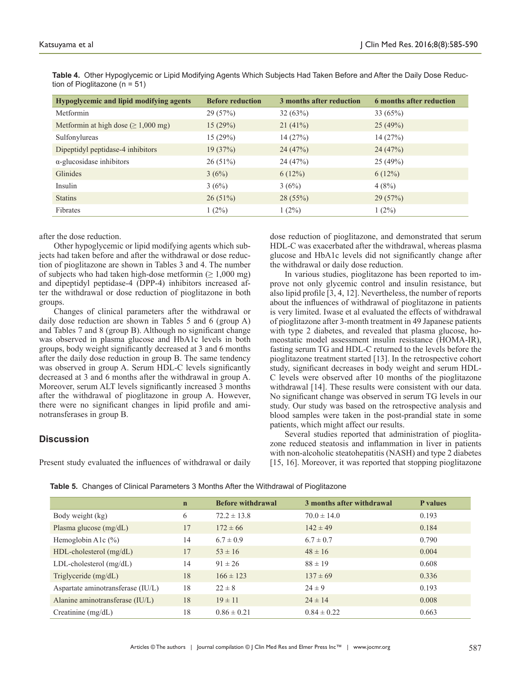**Table 4.** Other Hypoglycemic or Lipid Modifying Agents Which Subjects Had Taken Before and After the Daily Dose Reduction of Pioglitazone (n = 51)

| <b>Hypoglycemic and lipid modifying agents</b> | <b>Before reduction</b> | 3 months after reduction | 6 months after reduction |
|------------------------------------------------|-------------------------|--------------------------|--------------------------|
| Metformin                                      | 29(57%)                 | 32(63%)                  | 33(65%)                  |
| Metformin at high dose ( $\geq 1,000$ mg)      | 15(29%)                 | 21(41%)                  | 25(49%)                  |
| Sulfonylureas                                  | 15(29%)                 | 14(27%)                  | 14(27%)                  |
| Dipeptidyl peptidase-4 inhibitors              | 19(37%)                 | 24(47%)                  | 24(47%)                  |
| $\alpha$ -glucosidase inhibitors               | $26(51\%)$              | 24(47%)                  | 25(49%)                  |
| Glinides                                       | 3(6%)                   | 6(12%)                   | 6(12%)                   |
| Insulin                                        | 3(6%)                   | 3(6%)                    | 4(8%)                    |
| <b>Statins</b>                                 | $26(51\%)$              | 28(55%)                  | 29(57%)                  |
| Fibrates                                       | $1(2\%)$                | $1(2\%)$                 | $1(2\%)$                 |

#### after the dose reduction.

Other hypoglycemic or lipid modifying agents which subjects had taken before and after the withdrawal or dose reduction of pioglitazone are shown in Tables 3 and 4. The number of subjects who had taken high-dose metformin ( $\geq 1,000$  mg) and dipeptidyl peptidase-4 (DPP-4) inhibitors increased after the withdrawal or dose reduction of pioglitazone in both groups.

Changes of clinical parameters after the withdrawal or daily dose reduction are shown in Tables 5 and 6 (group A) and Tables 7 and 8 (group B). Although no significant change was observed in plasma glucose and HbA1c levels in both groups, body weight significantly decreased at 3 and 6 months after the daily dose reduction in group B. The same tendency was observed in group A. Serum HDL-C levels significantly decreased at 3 and 6 months after the withdrawal in group A. Moreover, serum ALT levels significantly increased 3 months after the withdrawal of pioglitazone in group A. However, there were no significant changes in lipid profile and aminotransferases in group B.

## **Discussion**

Present study evaluated the influences of withdrawal or daily

dose reduction of pioglitazone, and demonstrated that serum HDL-C was exacerbated after the withdrawal, whereas plasma glucose and HbA1c levels did not significantly change after the withdrawal or daily dose reduction.

In various studies, pioglitazone has been reported to improve not only glycemic control and insulin resistance, but also lipid profile [3, 4, 12]. Nevertheless, the number of reports about the influences of withdrawal of pioglitazone in patients is very limited. Iwase et al evaluated the effects of withdrawal of pioglitazone after 3-month treatment in 49 Japanese patients with type 2 diabetes, and revealed that plasma glucose, homeostatic model assessment insulin resistance (HOMA-IR), fasting serum TG and HDL-C returned to the levels before the pioglitazone treatment started [13]. In the retrospective cohort study, significant decreases in body weight and serum HDL-C levels were observed after 10 months of the pioglitazone withdrawal [14]. These results were consistent with our data. No significant change was observed in serum TG levels in our study. Our study was based on the retrospective analysis and blood samples were taken in the post-prandial state in some patients, which might affect our results.

Several studies reported that administration of pioglitazone reduced steatosis and inflammation in liver in patients with non-alcoholic steatohepatitis (NASH) and type 2 diabetes [15, 16]. Moreover, it was reported that stopping pioglitazone

**Table 5.** Changes of Clinical Parameters 3 Months After the Withdrawal of Pioglitazone

|                                   | $\mathbf n$ | <b>Before withdrawal</b> | 3 months after withdrawal | <b>P</b> values |
|-----------------------------------|-------------|--------------------------|---------------------------|-----------------|
| Body weight (kg)                  | 6           | $72.2 \pm 13.8$          | $70.0 \pm 14.0$           | 0.193           |
| Plasma glucose (mg/dL)            | 17          | $172 \pm 66$             | $142 \pm 49$              | 0.184           |
| Hemoglobin A1 $c$ (%)             | 14          | $6.7 \pm 0.9$            | $6.7 \pm 0.7$             | 0.790           |
| HDL-cholesterol (mg/dL)           | 17          | $53 \pm 16$              | $48 \pm 16$               | 0.004           |
| $LDL$ -cholesterol $(mg/dL)$      | 14          | $91 \pm 26$              | $88 \pm 19$               | 0.608           |
| Triglyceride $(mg/dL)$            | 18          | $166 \pm 123$            | $137 \pm 69$              | 0.336           |
| Aspartate aminotransferase (IU/L) | 18          | $22 \pm 8$               | $24 \pm 9$                | 0.193           |
| Alanine aminotransferase (IU/L)   | 18          | $19 \pm 11$              | $24 \pm 14$               | 0.008           |
| Creatinine $(mg/dL)$              | 18          | $0.86 \pm 0.21$          | $0.84 \pm 0.22$           | 0.663           |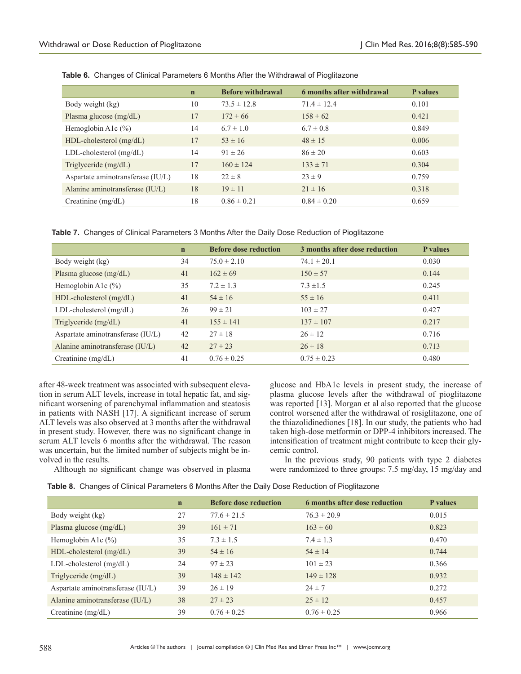|                                   | $\mathbf n$ | <b>Before withdrawal</b> | 6 months after withdrawal | <b>P</b> values |
|-----------------------------------|-------------|--------------------------|---------------------------|-----------------|
| Body weight (kg)                  | 10          | $73.5 \pm 12.8$          | $71.4 \pm 12.4$           | 0.101           |
| Plasma glucose (mg/dL)            | 17          | $172 \pm 66$             | $158 \pm 62$              | 0.421           |
| Hemoglobin A1 $c$ (%)             | 14          | $6.7 \pm 1.0$            | $6.7 \pm 0.8$             | 0.849           |
| HDL-cholesterol (mg/dL)           | 17          | $53 \pm 16$              | $48 \pm 15$               | 0.006           |
| $LDL$ -cholesterol $(mg/dL)$      | 14          | $91 \pm 26$              | $86 \pm 20$               | 0.603           |
| Triglyceride (mg/dL)              | 17          | $160 \pm 124$            | $133 \pm 71$              | 0.304           |
| Aspartate aminotransferase (IU/L) | 18          | $22 \pm 8$               | $23 \pm 9$                | 0.759           |
| Alanine aminotransferase (IU/L)   | 18          | $19 \pm 11$              | $21 \pm 16$               | 0.318           |
| Creatinine $(mg/dL)$              | 18          | $0.86 \pm 0.21$          | $0.84 \pm 0.20$           | 0.659           |

**Table 6.** Changes of Clinical Parameters 6 Months After the Withdrawal of Pioglitazone

|  |  |  |  |  | Table 7. Changes of Clinical Parameters 3 Months After the Daily Dose Reduction of Pioglitazone |
|--|--|--|--|--|-------------------------------------------------------------------------------------------------|
|--|--|--|--|--|-------------------------------------------------------------------------------------------------|

|                                   | $\mathbf n$ | <b>Before dose reduction</b> | 3 months after dose reduction | <b>P</b> values |
|-----------------------------------|-------------|------------------------------|-------------------------------|-----------------|
| Body weight (kg)                  | 34          | $75.0 \pm 2.10$              | $74.1 \pm 20.1$               | 0.030           |
| Plasma glucose (mg/dL)            | 41          | $162 \pm 69$                 | $150 \pm 57$                  | 0.144           |
| Hemoglobin A1 $c$ (%)             | 35          | $7.2 \pm 1.3$                | $7.3 \pm 1.5$                 | 0.245           |
| HDL-cholesterol (mg/dL)           | 41          | $54 \pm 16$                  | $55 \pm 16$                   | 0.411           |
| $LDL$ -cholesterol $(mg/dL)$      | 26          | $99 \pm 21$                  | $103 \pm 27$                  | 0.427           |
| Triglyceride (mg/dL)              | 41          | $155 \pm 141$                | $137 \pm 107$                 | 0.217           |
| Aspartate aminotransferase (IU/L) | 42          | $27 \pm 18$                  | $26 \pm 12$                   | 0.716           |
| Alanine aminotransferase (IU/L)   | 42          | $27 \pm 23$                  | $26 \pm 18$                   | 0.713           |
| Creatinine $(mg/dL)$              | 41          | $0.76 \pm 0.25$              | $0.75 \pm 0.23$               | 0.480           |

after 48-week treatment was associated with subsequent elevation in serum ALT levels, increase in total hepatic fat, and significant worsening of parenchymal inflammation and steatosis in patients with NASH [17]. A significant increase of serum ALT levels was also observed at 3 months after the withdrawal in present study. However, there was no significant change in serum ALT levels 6 months after the withdrawal. The reason was uncertain, but the limited number of subjects might be involved in the results.

Although no significant change was observed in plasma

glucose and HbA1c levels in present study, the increase of plasma glucose levels after the withdrawal of pioglitazone was reported [13]. Morgan et al also reported that the glucose control worsened after the withdrawal of rosiglitazone, one of the thiazolidinediones [18]. In our study, the patients who had taken high-dose metformin or DPP-4 inhibitors increased. The intensification of treatment might contribute to keep their glycemic control.

In the previous study, 90 patients with type 2 diabetes were randomized to three groups: 7.5 mg/day, 15 mg/day and

|  |  |  |  | Table 8. Changes of Clinical Parameters 6 Months After the Daily Dose Reduction of Pioglitazone |
|--|--|--|--|-------------------------------------------------------------------------------------------------|
|--|--|--|--|-------------------------------------------------------------------------------------------------|

|                                   | $\mathbf n$ | <b>Before dose reduction</b> | 6 months after dose reduction | <b>P</b> values |
|-----------------------------------|-------------|------------------------------|-------------------------------|-----------------|
| Body weight (kg)                  | 27          | $77.6 \pm 21.5$              | $76.3 \pm 20.9$               | 0.015           |
| Plasma glucose $(mg/dL)$          | 39          | $161 \pm 71$                 | $163 \pm 60$                  | 0.823           |
| Hemoglobin A1 $c$ (%)             | 35          | $7.3 \pm 1.5$                | $7.4 \pm 1.3$                 | 0.470           |
| $HDL$ -cholesterol (mg/dL)        | 39          | $54 \pm 16$                  | $54 \pm 14$                   | 0.744           |
| $LDL$ -cholesterol $(mg/dL)$      | 24          | $97 \pm 23$                  | $101 \pm 23$                  | 0.366           |
| Triglyceride (mg/dL)              | 39          | $148 \pm 142$                | $149 \pm 128$                 | 0.932           |
| Aspartate aminotransferase (IU/L) | 39          | $26 \pm 19$                  | $24 \pm 7$                    | 0.272           |
| Alanine aminotransferase (IU/L)   | 38          | $27 \pm 23$                  | $25 \pm 12$                   | 0.457           |
| Creatinine $(mg/dL)$              | 39          | $0.76 \pm 0.25$              | $0.76 \pm 0.25$               | 0.966           |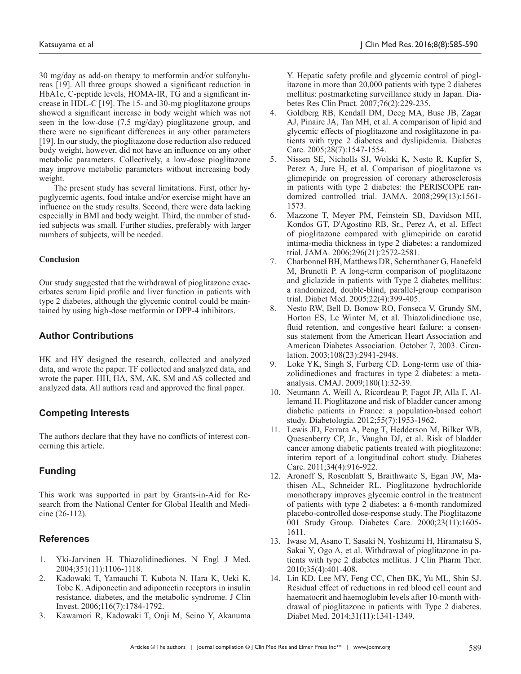30 mg/day as add-on therapy to metformin and/or sulfonylureas [19]. All three groups showed a significant reduction in HbA1c, C-peptide levels, HOMA-IR, TG and a significant increase in HDL-C [19]. The 15- and 30-mg pioglitazone groups showed a significant increase in body weight which was not seen in the low-dose (7.5 mg/day) pioglitazone group, and there were no significant differences in any other parameters [19]. In our study, the pioglitazone dose reduction also reduced body weight, however, did not have an influence on any other metabolic parameters. Collectively, a low-dose pioglitazone may improve metabolic parameters without increasing body weight.

The present study has several limitations. First, other hypoglycemic agents, food intake and/or exercise might have an influence on the study results. Second, there were data lacking especially in BMI and body weight. Third, the number of studied subjects was small. Further studies, preferably with larger numbers of subjects, will be needed.

## **Conclusion**

Our study suggested that the withdrawal of pioglitazone exacerbates serum lipid profile and liver function in patients with type 2 diabetes, although the glycemic control could be maintained by using high-dose metformin or DPP-4 inhibitors.

# **Author Contributions**

HK and HY designed the research, collected and analyzed data, and wrote the paper. TF collected and analyzed data, and wrote the paper. HH, HA, SM, AK, SM and AS collected and analyzed data. All authors read and approved the final paper.

# **Competing Interests**

The authors declare that they have no conflicts of interest concerning this article.

# **Funding**

This work was supported in part by Grants-in-Aid for Research from the National Center for Global Health and Medicine (26-112).

# **References**

- 1. Yki-Jarvinen H. Thiazolidinediones. N Engl J Med. 2004;351(11):1106-1118.
- 2. Kadowaki T, Yamauchi T, Kubota N, Hara K, Ueki K, Tobe K. Adiponectin and adiponectin receptors in insulin resistance, diabetes, and the metabolic syndrome. J Clin Invest. 2006;116(7):1784-1792.
- 3. Kawamori R, Kadowaki T, Onji M, Seino Y, Akanuma

Y. Hepatic safety profile and glycemic control of pioglitazone in more than 20,000 patients with type 2 diabetes mellitus: postmarketing surveillance study in Japan. Diabetes Res Clin Pract. 2007;76(2):229-235.

- 4. Goldberg RB, Kendall DM, Deeg MA, Buse JB, Zagar AJ, Pinaire JA, Tan MH, et al. A comparison of lipid and glycemic effects of pioglitazone and rosiglitazone in patients with type 2 diabetes and dyslipidemia. Diabetes Care. 2005;28(7):1547-1554.
- 5. Nissen SE, Nicholls SJ, Wolski K, Nesto R, Kupfer S, Perez A, Jure H, et al. Comparison of pioglitazone vs glimepiride on progression of coronary atherosclerosis in patients with type 2 diabetes: the PERISCOPE randomized controlled trial. JAMA. 2008;299(13):1561- 1573.
- 6. Mazzone T, Meyer PM, Feinstein SB, Davidson MH, Kondos GT, D'Agostino RB, Sr., Perez A, et al. Effect of pioglitazone compared with glimepiride on carotid intima-media thickness in type 2 diabetes: a randomized trial. JAMA. 2006;296(21):2572-2581.
- 7. Charbonnel BH, Matthews DR, Schernthaner G, Hanefeld M, Brunetti P. A long-term comparison of pioglitazone and gliclazide in patients with Type 2 diabetes mellitus: a randomized, double-blind, parallel-group comparison trial. Diabet Med. 2005;22(4):399-405.
- 8. Nesto RW, Bell D, Bonow RO, Fonseca V, Grundy SM, Horton ES, Le Winter M, et al. Thiazolidinedione use, fluid retention, and congestive heart failure: a consensus statement from the American Heart Association and American Diabetes Association. October 7, 2003. Circulation. 2003;108(23):2941-2948.
- 9. Loke YK, Singh S, Furberg CD. Long-term use of thiazolidinediones and fractures in type 2 diabetes: a metaanalysis. CMAJ. 2009;180(1):32-39.
- 10. Neumann A, Weill A, Ricordeau P, Fagot JP, Alla F, Allemand H. Pioglitazone and risk of bladder cancer among diabetic patients in France: a population-based cohort study. Diabetologia. 2012;55(7):1953-1962.
- 11. Lewis JD, Ferrara A, Peng T, Hedderson M, Bilker WB, Quesenberry CP, Jr., Vaughn DJ, et al. Risk of bladder cancer among diabetic patients treated with pioglitazone: interim report of a longitudinal cohort study. Diabetes Care. 2011;34(4):916-922.
- 12. Aronoff S, Rosenblatt S, Braithwaite S, Egan JW, Mathisen AL, Schneider RL. Pioglitazone hydrochloride monotherapy improves glycemic control in the treatment of patients with type 2 diabetes: a 6-month randomized placebo-controlled dose-response study. The Pioglitazone 001 Study Group. Diabetes Care. 2000;23(11):1605- 1611.
- 13. Iwase M, Asano T, Sasaki N, Yoshizumi H, Hiramatsu S, Sakai Y, Ogo A, et al. Withdrawal of pioglitazone in patients with type 2 diabetes mellitus. J Clin Pharm Ther. 2010;35(4):401-408.
- 14. Lin KD, Lee MY, Feng CC, Chen BK, Yu ML, Shin SJ. Residual effect of reductions in red blood cell count and haematocrit and haemoglobin levels after 10-month withdrawal of pioglitazone in patients with Type 2 diabetes. Diabet Med. 2014;31(11):1341-1349.